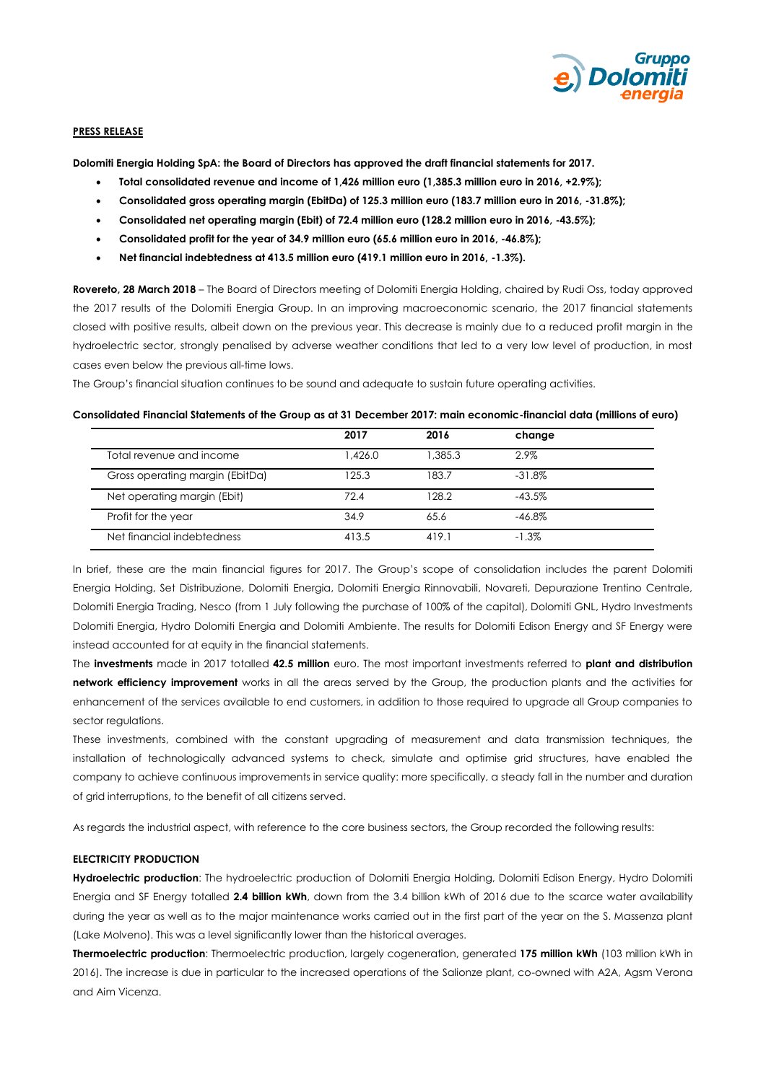

#### **PRESS RELEASE**

**Dolomiti Energia Holding SpA: the Board of Directors has approved the draft financial statements for 2017.**

- **Total consolidated revenue and income of 1,426 million euro (1,385.3 million euro in 2016, +2.9%);**
- **Consolidated gross operating margin (EbitDa) of 125.3 million euro (183.7 million euro in 2016, -31.8%);**
- **Consolidated net operating margin (Ebit) of 72.4 million euro (128.2 million euro in 2016, -43.5%);**
- **Consolidated profit for the year of 34.9 million euro (65.6 million euro in 2016, -46.8%);**
- **Net financial indebtedness at 413.5 million euro (419.1 million euro in 2016, -1.3%).**

**Rovereto, 28 March 2018** – The Board of Directors meeting of Dolomiti Energia Holding, chaired by Rudi Oss, today approved the 2017 results of the Dolomiti Energia Group. In an improving macroeconomic scenario, the 2017 financial statements closed with positive results, albeit down on the previous year. This decrease is mainly due to a reduced profit margin in the hydroelectric sector, strongly penalised by adverse weather conditions that led to a very low level of production, in most cases even below the previous all-time lows.

The Group's financial situation continues to be sound and adequate to sustain future operating activities.

## **Consolidated Financial Statements of the Group as at 31 December 2017: main economic-financial data (millions of euro)**

|                                 | 2017    | 2016    | change    |
|---------------------------------|---------|---------|-----------|
| Total revenue and income        | 1.426.0 | 1.385.3 | 2.9%      |
| Gross operating margin (EbitDa) | 125.3   | 183.7   | $-31.8\%$ |
| Net operating margin (Ebit)     | 72.4    | 128.2   | $-43.5%$  |
| Profit for the year             | 34.9    | 65.6    | $-46.8\%$ |
| Net financial indebtedness      | 413.5   | 419.1   | $-1.3\%$  |

In brief, these are the main financial figures for 2017. The Group's scope of consolidation includes the parent Dolomiti Energia Holding, Set Distribuzione, Dolomiti Energia, Dolomiti Energia Rinnovabili, Novareti, Depurazione Trentino Centrale, Dolomiti Energia Trading, Nesco (from 1 July following the purchase of 100% of the capital), Dolomiti GNL, Hydro Investments Dolomiti Energia, Hydro Dolomiti Energia and Dolomiti Ambiente. The results for Dolomiti Edison Energy and SF Energy were instead accounted for at equity in the financial statements.

The **investments** made in 2017 totalled **42.5 million** euro. The most important investments referred to **plant and distribution network efficiency improvement** works in all the areas served by the Group, the production plants and the activities for enhancement of the services available to end customers, in addition to those required to upgrade all Group companies to sector regulations.

These investments, combined with the constant upgrading of measurement and data transmission techniques, the installation of technologically advanced systems to check, simulate and optimise grid structures, have enabled the company to achieve continuous improvements in service quality: more specifically, a steady fall in the number and duration of grid interruptions, to the benefit of all citizens served.

As regards the industrial aspect, with reference to the core business sectors, the Group recorded the following results:

## **ELECTRICITY PRODUCTION**

**Hydroelectric production**: The hydroelectric production of Dolomiti Energia Holding, Dolomiti Edison Energy, Hydro Dolomiti Energia and SF Energy totalled **2.4 billion kWh**, down from the 3.4 billion kWh of 2016 due to the scarce water availability during the year as well as to the major maintenance works carried out in the first part of the year on the S. Massenza plant (Lake Molveno). This was a level significantly lower than the historical averages.

**Thermoelectric production**: Thermoelectric production, largely cogeneration, generated **175 million kWh** (103 million kWh in 2016). The increase is due in particular to the increased operations of the Salionze plant, co-owned with A2A, Agsm Verona and Aim Vicenza.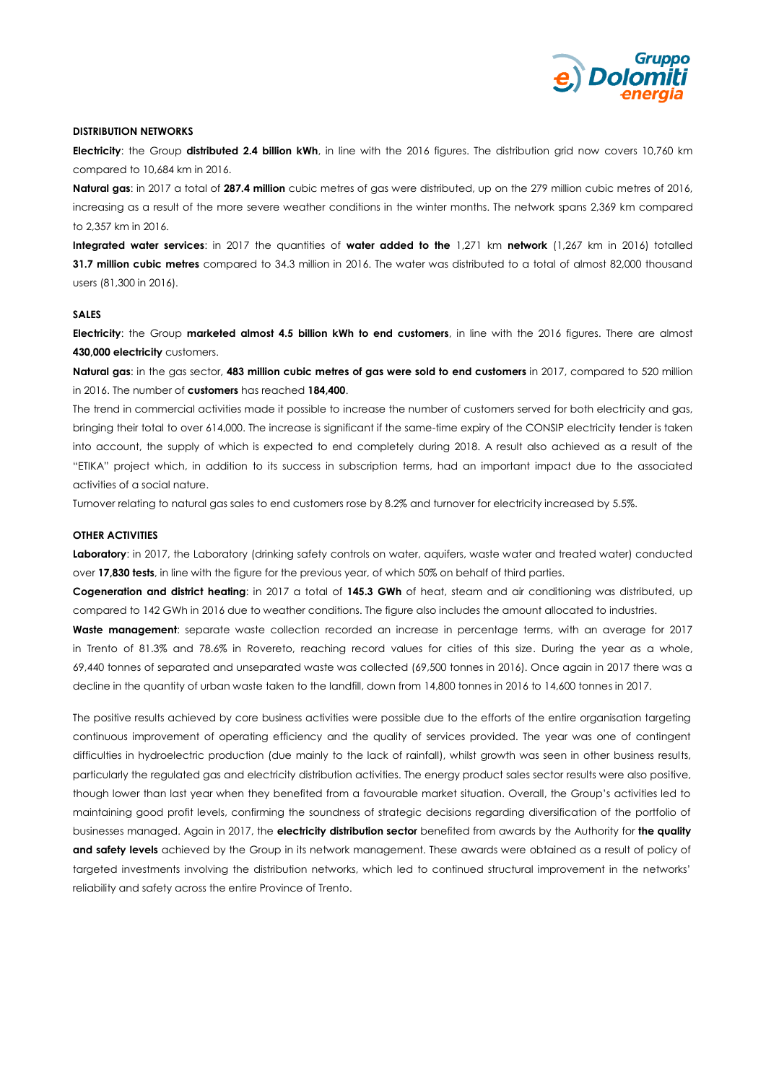

#### **DISTRIBUTION NETWORKS**

**Electricity**: the Group **distributed 2.4 billion kWh**, in line with the 2016 figures. The distribution grid now covers 10,760 km compared to 10,684 km in 2016.

**Natural gas**: in 2017 a total of **287.4 million** cubic metres of gas were distributed, up on the 279 million cubic metres of 2016, increasing as a result of the more severe weather conditions in the winter months. The network spans 2,369 km compared to 2,357 km in 2016.

**Integrated water services**: in 2017 the quantities of **water added to the** 1,271 km **network** (1,267 km in 2016) totalled **31.7 million cubic metres** compared to 34.3 million in 2016. The water was distributed to a total of almost 82,000 thousand users (81,300 in 2016).

# **SALES**

**Electricity**: the Group **marketed almost 4.5 billion kWh to end customers**, in line with the 2016 figures. There are almost **430,000 electricity** customers.

**Natural gas**: in the gas sector, **483 million cubic metres of gas were sold to end customers** in 2017, compared to 520 million in 2016. The number of **customers** has reached **184,400**.

The trend in commercial activities made it possible to increase the number of customers served for both electricity and gas, bringing their total to over 614,000. The increase is significant if the same-time expiry of the CONSIP electricity tender is taken into account, the supply of which is expected to end completely during 2018. A result also achieved as a result of the "ETIKA" project which, in addition to its success in subscription terms, had an important impact due to the associated activities of a social nature.

Turnover relating to natural gas sales to end customers rose by 8.2% and turnover for electricity increased by 5.5%.

## **OTHER ACTIVITIES**

**Laboratory**: in 2017, the Laboratory (drinking safety controls on water, aquifers, waste water and treated water) conducted over **17,830 tests**, in line with the figure for the previous year, of which 50% on behalf of third parties.

**Cogeneration and district heating**: in 2017 a total of **145.3 GWh** of heat, steam and air conditioning was distributed, up compared to 142 GWh in 2016 due to weather conditions. The figure also includes the amount allocated to industries.

**Waste management**: separate waste collection recorded an increase in percentage terms, with an average for 2017 in Trento of 81.3% and 78.6% in Rovereto, reaching record values for cities of this size. During the year as a whole, 69,440 tonnes of separated and unseparated waste was collected (69,500 tonnes in 2016). Once again in 2017 there was a decline in the quantity of urban waste taken to the landfill, down from 14,800 tonnes in 2016 to 14,600 tonnes in 2017.

The positive results achieved by core business activities were possible due to the efforts of the entire organisation targeting continuous improvement of operating efficiency and the quality of services provided. The year was one of contingent difficulties in hydroelectric production (due mainly to the lack of rainfall), whilst growth was seen in other business results, particularly the regulated gas and electricity distribution activities. The energy product sales sector results were also positive, though lower than last year when they benefited from a favourable market situation. Overall, the Group's activities led to maintaining good profit levels, confirming the soundness of strategic decisions regarding diversification of the portfolio of businesses managed. Again in 2017, the **electricity distribution sector** benefited from awards by the Authority for **the quality and safety levels** achieved by the Group in its network management. These awards were obtained as a result of policy of targeted investments involving the distribution networks, which led to continued structural improvement in the networks' reliability and safety across the entire Province of Trento.